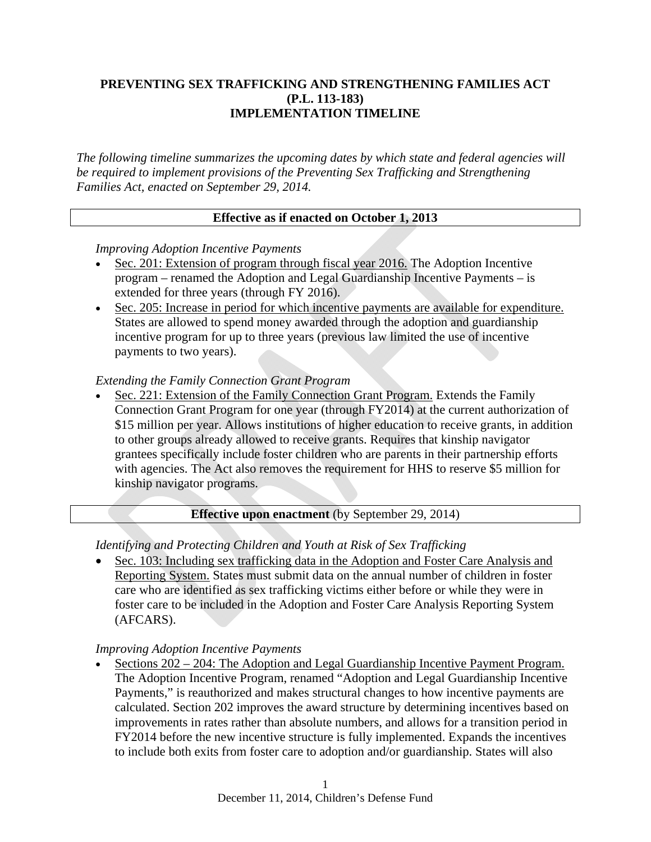## **PREVENTING SEX TRAFFICKING AND STRENGTHENING FAMILIES ACT (P.L. 113-183) IMPLEMENTATION TIMELINE**

*The following timeline summarizes the upcoming dates by which state and federal agencies will be required to implement provisions of the Preventing Sex Trafficking and Strengthening Families Act, enacted on September 29, 2014.* 

## **Effective as if enacted on October 1, 2013**

### *Improving Adoption Incentive Payments*

- Sec. 201: Extension of program through fiscal year 2016. The Adoption Incentive program – renamed the Adoption and Legal Guardianship Incentive Payments – is extended for three years (through FY 2016).
- Sec. 205: Increase in period for which incentive payments are available for expenditure. States are allowed to spend money awarded through the adoption and guardianship incentive program for up to three years (previous law limited the use of incentive payments to two years).

### *Extending the Family Connection Grant Program*

 Sec. 221: Extension of the Family Connection Grant Program. Extends the Family Connection Grant Program for one year (through FY2014) at the current authorization of \$15 million per year. Allows institutions of higher education to receive grants, in addition to other groups already allowed to receive grants. Requires that kinship navigator grantees specifically include foster children who are parents in their partnership efforts with agencies. The Act also removes the requirement for HHS to reserve \$5 million for kinship navigator programs.

## **Effective upon enactment** (by September 29, 2014)

## *Identifying and Protecting Children and Youth at Risk of Sex Trafficking*

 Sec. 103: Including sex trafficking data in the Adoption and Foster Care Analysis and Reporting System. States must submit data on the annual number of children in foster care who are identified as sex trafficking victims either before or while they were in foster care to be included in the Adoption and Foster Care Analysis Reporting System (AFCARS).

### *Improving Adoption Incentive Payments*

 Sections 202 – 204: The Adoption and Legal Guardianship Incentive Payment Program. The Adoption Incentive Program, renamed "Adoption and Legal Guardianship Incentive Payments," is reauthorized and makes structural changes to how incentive payments are calculated. Section 202 improves the award structure by determining incentives based on improvements in rates rather than absolute numbers, and allows for a transition period in FY2014 before the new incentive structure is fully implemented. Expands the incentives to include both exits from foster care to adoption and/or guardianship. States will also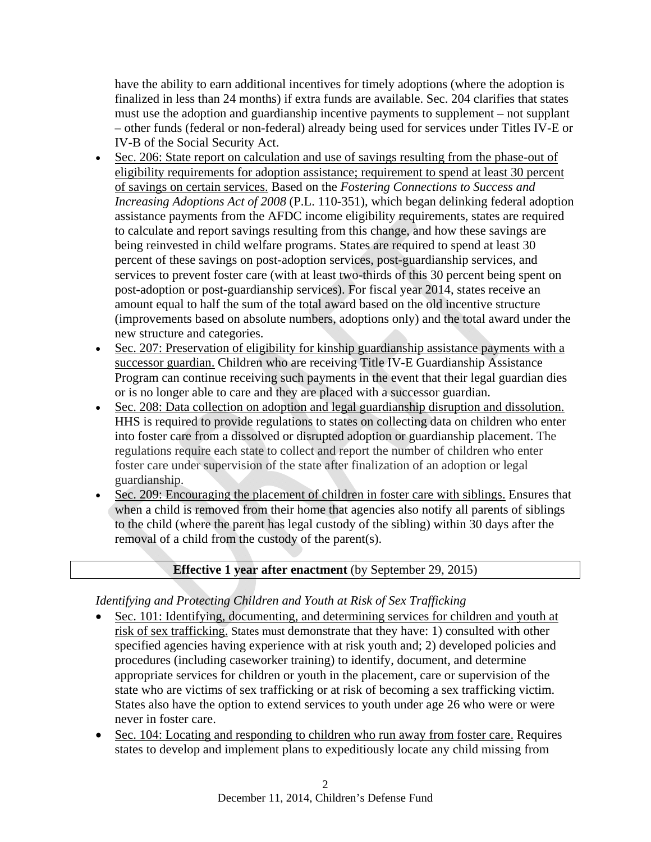have the ability to earn additional incentives for timely adoptions (where the adoption is finalized in less than 24 months) if extra funds are available. Sec. 204 clarifies that states must use the adoption and guardianship incentive payments to supplement – not supplant – other funds (federal or non-federal) already being used for services under Titles IV-E or IV-B of the Social Security Act.

- Sec. 206: State report on calculation and use of savings resulting from the phase-out of eligibility requirements for adoption assistance; requirement to spend at least 30 percent of savings on certain services. Based on the *Fostering Connections to Success and Increasing Adoptions Act of 2008* (P.L. 110-351), which began delinking federal adoption assistance payments from the AFDC income eligibility requirements, states are required to calculate and report savings resulting from this change, and how these savings are being reinvested in child welfare programs. States are required to spend at least 30 percent of these savings on post-adoption services, post-guardianship services, and services to prevent foster care (with at least two-thirds of this 30 percent being spent on post-adoption or post-guardianship services). For fiscal year 2014, states receive an amount equal to half the sum of the total award based on the old incentive structure (improvements based on absolute numbers, adoptions only) and the total award under the new structure and categories.
- Sec. 207: Preservation of eligibility for kinship guardianship assistance payments with a successor guardian. Children who are receiving Title IV-E Guardianship Assistance Program can continue receiving such payments in the event that their legal guardian dies or is no longer able to care and they are placed with a successor guardian.
- Sec. 208: Data collection on adoption and legal guardianship disruption and dissolution. HHS is required to provide regulations to states on collecting data on children who enter into foster care from a dissolved or disrupted adoption or guardianship placement. The regulations require each state to collect and report the number of children who enter foster care under supervision of the state after finalization of an adoption or legal guardianship.
- Sec. 209: Encouraging the placement of children in foster care with siblings. Ensures that when a child is removed from their home that agencies also notify all parents of siblings to the child (where the parent has legal custody of the sibling) within 30 days after the removal of a child from the custody of the parent(s).

## **Effective 1 year after enactment** (by September 29, 2015)

# *Identifying and Protecting Children and Youth at Risk of Sex Trafficking*

- Sec. 101: Identifying, documenting, and determining services for children and youth at risk of sex trafficking. States must demonstrate that they have: 1) consulted with other specified agencies having experience with at risk youth and; 2) developed policies and procedures (including caseworker training) to identify, document, and determine appropriate services for children or youth in the placement, care or supervision of the state who are victims of sex trafficking or at risk of becoming a sex trafficking victim. States also have the option to extend services to youth under age 26 who were or were never in foster care.
- Sec. 104: Locating and responding to children who run away from foster care. Requires states to develop and implement plans to expeditiously locate any child missing from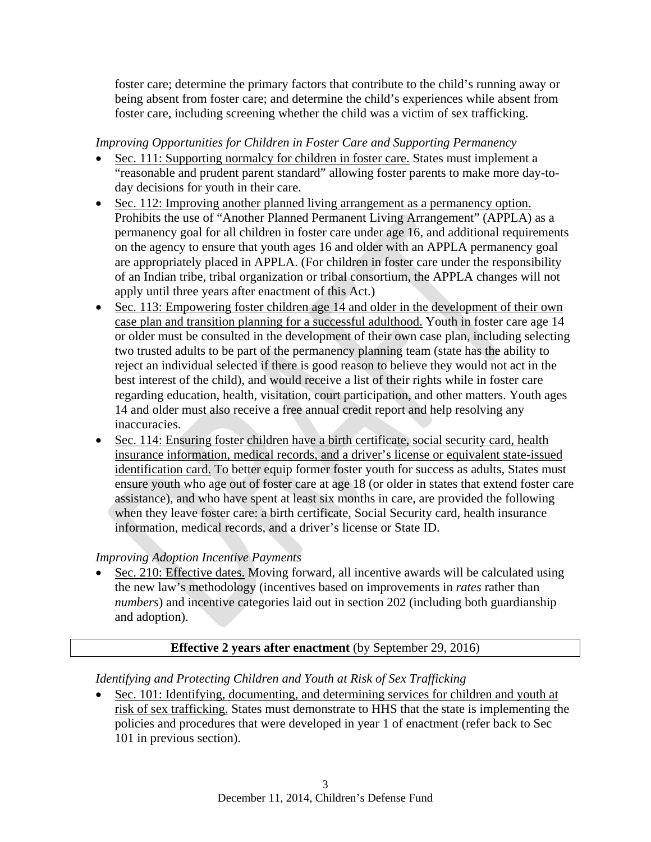foster care; determine the primary factors that contribute to the child's running away or being absent from foster care; and determine the child's experiences while absent from foster care, including screening whether the child was a victim of sex trafficking.

## *Improving Opportunities for Children in Foster Care and Supporting Permanency*

- Sec. 111: Supporting normalcy for children in foster care. States must implement a "reasonable and prudent parent standard" allowing foster parents to make more day-today decisions for youth in their care.
- Sec. 112: Improving another planned living arrangement as a permanency option. Prohibits the use of "Another Planned Permanent Living Arrangement" (APPLA) as a permanency goal for all children in foster care under age 16, and additional requirements on the agency to ensure that youth ages 16 and older with an APPLA permanency goal are appropriately placed in APPLA. (For children in foster care under the responsibility of an Indian tribe, tribal organization or tribal consortium, the APPLA changes will not apply until three years after enactment of this Act.)
- Sec. 113: Empowering foster children age 14 and older in the development of their own case plan and transition planning for a successful adulthood. Youth in foster care age 14 or older must be consulted in the development of their own case plan, including selecting two trusted adults to be part of the permanency planning team (state has the ability to reject an individual selected if there is good reason to believe they would not act in the best interest of the child), and would receive a list of their rights while in foster care regarding education, health, visitation, court participation, and other matters. Youth ages 14 and older must also receive a free annual credit report and help resolving any inaccuracies.
- Sec. 114: Ensuring foster children have a birth certificate, social security card, health insurance information, medical records, and a driver's license or equivalent state-issued identification card. To better equip former foster youth for success as adults, States must ensure youth who age out of foster care at age 18 (or older in states that extend foster care assistance), and who have spent at least six months in care, are provided the following when they leave foster care: a birth certificate, Social Security card, health insurance information, medical records, and a driver's license or State ID.

# *Improving Adoption Incentive Payments*

 Sec. 210: Effective dates. Moving forward, all incentive awards will be calculated using the new law's methodology (incentives based on improvements in *rates* rather than *numbers*) and incentive categories laid out in section 202 (including both guardianship and adoption).

# **Effective 2 years after enactment** (by September 29, 2016)

# *Identifying and Protecting Children and Youth at Risk of Sex Trafficking*

• Sec. 101: Identifying, documenting, and determining services for children and youth at risk of sex trafficking. States must demonstrate to HHS that the state is implementing the policies and procedures that were developed in year 1 of enactment (refer back to Sec 101 in previous section).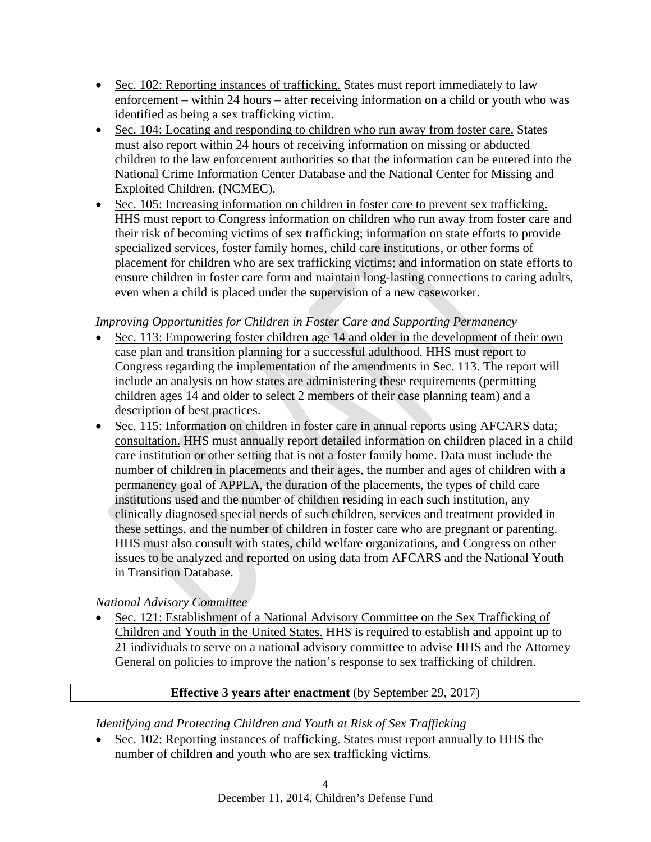- Sec. 102: Reporting instances of trafficking. States must report immediately to law enforcement – within 24 hours – after receiving information on a child or youth who was identified as being a sex trafficking victim.
- Sec. 104: Locating and responding to children who run away from foster care. States must also report within 24 hours of receiving information on missing or abducted children to the law enforcement authorities so that the information can be entered into the National Crime Information Center Database and the National Center for Missing and Exploited Children. (NCMEC).
- Sec. 105: Increasing information on children in foster care to prevent sex trafficking. HHS must report to Congress information on children who run away from foster care and their risk of becoming victims of sex trafficking; information on state efforts to provide specialized services, foster family homes, child care institutions, or other forms of placement for children who are sex trafficking victims; and information on state efforts to ensure children in foster care form and maintain long-lasting connections to caring adults, even when a child is placed under the supervision of a new caseworker.

## *Improving Opportunities for Children in Foster Care and Supporting Permanency*

- Sec. 113: Empowering foster children age 14 and older in the development of their own case plan and transition planning for a successful adulthood. HHS must report to Congress regarding the implementation of the amendments in Sec. 113. The report will include an analysis on how states are administering these requirements (permitting children ages 14 and older to select 2 members of their case planning team) and a description of best practices.
- Sec. 115: Information on children in foster care in annual reports using AFCARS data; consultation. HHS must annually report detailed information on children placed in a child care institution or other setting that is not a foster family home. Data must include the number of children in placements and their ages, the number and ages of children with a permanency goal of APPLA, the duration of the placements, the types of child care institutions used and the number of children residing in each such institution, any clinically diagnosed special needs of such children, services and treatment provided in these settings, and the number of children in foster care who are pregnant or parenting. HHS must also consult with states, child welfare organizations, and Congress on other issues to be analyzed and reported on using data from AFCARS and the National Youth in Transition Database.

## *National Advisory Committee*

• Sec. 121: Establishment of a National Advisory Committee on the Sex Trafficking of Children and Youth in the United States. HHS is required to establish and appoint up to 21 individuals to serve on a national advisory committee to advise HHS and the Attorney General on policies to improve the nation's response to sex trafficking of children.

## **Effective 3 years after enactment** (by September 29, 2017)

*Identifying and Protecting Children and Youth at Risk of Sex Trafficking* 

 Sec. 102: Reporting instances of trafficking. States must report annually to HHS the number of children and youth who are sex trafficking victims.